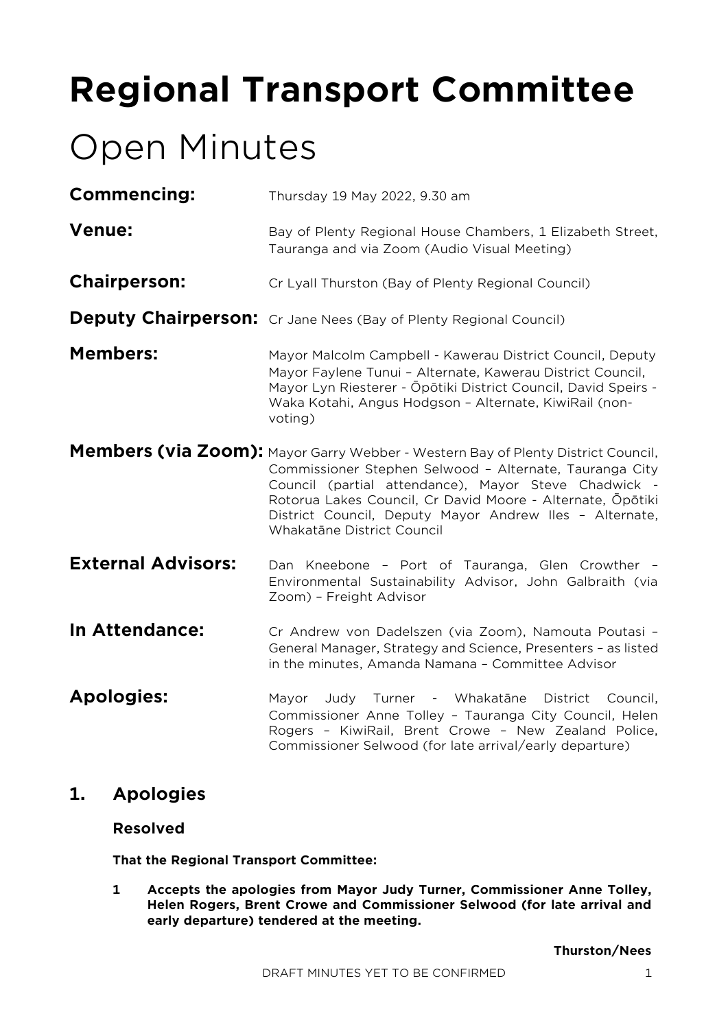# **Regional Transport Committee**

# Open Minutes

| Thursday 19 May 2022, 9.30 am                                                                                                                                                                                                                                                                                                                              |
|------------------------------------------------------------------------------------------------------------------------------------------------------------------------------------------------------------------------------------------------------------------------------------------------------------------------------------------------------------|
| Bay of Plenty Regional House Chambers, 1 Elizabeth Street,<br>Tauranga and via Zoom (Audio Visual Meeting)                                                                                                                                                                                                                                                 |
| Cr Lyall Thurston (Bay of Plenty Regional Council)                                                                                                                                                                                                                                                                                                         |
| <b>Deputy Chairperson:</b> Cr Jane Nees (Bay of Plenty Regional Council)                                                                                                                                                                                                                                                                                   |
| Mayor Malcolm Campbell - Kawerau District Council, Deputy<br>Mayor Faylene Tunui - Alternate, Kawerau District Council,<br>Mayor Lyn Riesterer - Ōpōtiki District Council, David Speirs -<br>Waka Kotahi, Angus Hodgson - Alternate, KiwiRail (non-<br>voting)                                                                                             |
| Members (via Zoom): Mayor Garry Webber - Western Bay of Plenty District Council,<br>Commissioner Stephen Selwood - Alternate, Tauranga City<br>Council (partial attendance), Mayor Steve Chadwick -<br>Rotorua Lakes Council, Cr David Moore - Alternate, Ōpōtiki<br>District Council, Deputy Mayor Andrew Iles - Alternate,<br>Whakatāne District Council |
| Dan Kneebone - Port of Tauranga, Glen Crowther -<br>Environmental Sustainability Advisor, John Galbraith (via<br>Zoom) - Freight Advisor                                                                                                                                                                                                                   |
| Cr Andrew von Dadelszen (via Zoom), Namouta Poutasi -<br>General Manager, Strategy and Science, Presenters - as listed<br>in the minutes, Amanda Namana - Committee Advisor                                                                                                                                                                                |
| Judy<br>Turner - Whakatāne<br>District<br>Mayor<br>Council,<br>Commissioner Anne Tolley - Tauranga City Council, Helen<br>Rogers - KiwiRail, Brent Crowe - New Zealand Police,<br>Commissioner Selwood (for late arrival/early departure)                                                                                                                  |
|                                                                                                                                                                                                                                                                                                                                                            |

# **1. Apologies**

# **Resolved**

**That the Regional Transport Committee:**

**1 Accepts the apologies from Mayor Judy Turner, Commissioner Anne Tolley, Helen Rogers, Brent Crowe and Commissioner Selwood (for late arrival and early departure) tendered at the meeting.**

**Thurston/Nees**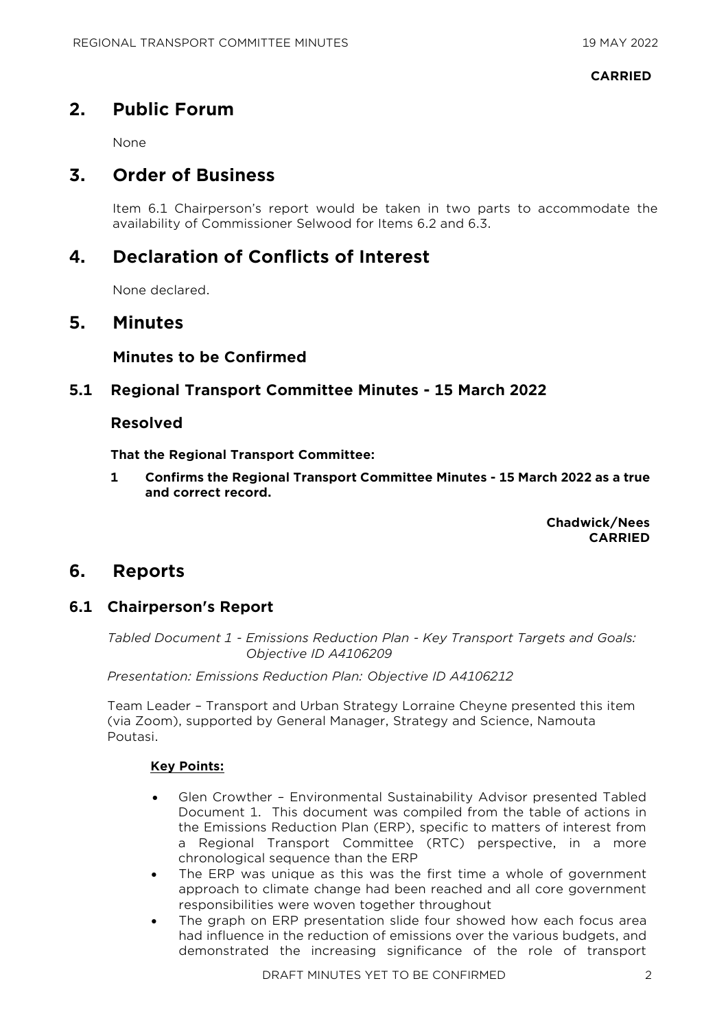#### **CARRIED**

# **2. Public Forum**

None

# **3. Order of Business**

Item 6.1 Chairperson's report would be taken in two parts to accommodate the availability of Commissioner Selwood for Items 6.2 and 6.3.

# **4. Declaration of Conflicts of Interest**

None declared.

# **5. Minutes**

#### **Minutes to be Confirmed**

# **5.1 Regional Transport Committee Minutes - 15 March 2022**

### **Resolved**

**That the Regional Transport Committee:**

**1 Confirms the Regional Transport Committee Minutes - 15 March 2022 as a true and correct record.**

> **Chadwick/Nees CARRIED**

# **6. Reports**

# **6.1 Chairperson's Report**

*Tabled Document 1 - Emissions Reduction Plan - Key Transport Targets and Goals: Objective ID A4106209* 

*Presentation: Emissions Reduction Plan: Objective ID A4106212* 

Team Leader – Transport and Urban Strategy Lorraine Cheyne presented this item (via Zoom), supported by General Manager, Strategy and Science, Namouta Poutasi.

- Glen Crowther Environmental Sustainability Advisor presented Tabled Document 1. This document was compiled from the table of actions in the Emissions Reduction Plan (ERP), specific to matters of interest from a Regional Transport Committee (RTC) perspective, in a more chronological sequence than the ERP
- The ERP was unique as this was the first time a whole of government approach to climate change had been reached and all core government responsibilities were woven together throughout
- The graph on ERP presentation slide four showed how each focus area had influence in the reduction of emissions over the various budgets, and demonstrated the increasing significance of the role of transport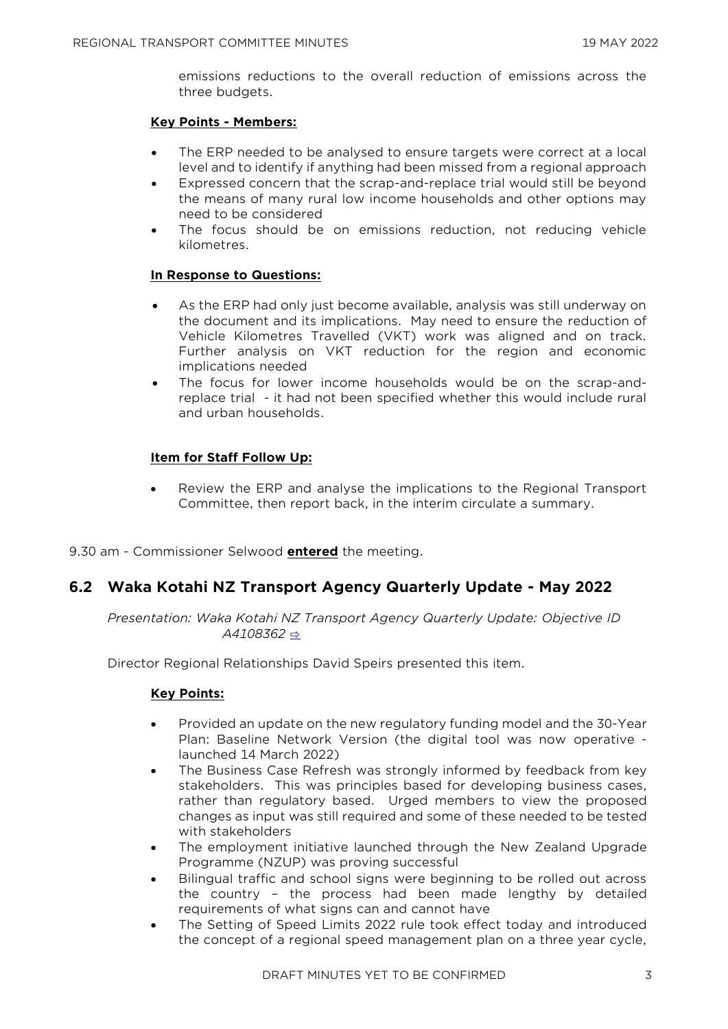emissions reductions to the overall reduction of emissions across the three budgets.

#### **Key Points - Members:**

- The ERP needed to be analysed to ensure targets were correct at a local level and to identify if anything had been missed from a regional approach
- Expressed concern that the scrap-and-replace trial would still be beyond the means of many rural low income households and other options may need to be considered
- The focus should be on emissions reduction, not reducing vehicle kilometres.

#### **In Response to Questions:**

- As the ERP had only just become available, analysis was still underway on the document and its implications. May need to ensure the reduction of Vehicle Kilometres Travelled (VKT) work was aligned and on track. Further analysis on VKT reduction for the region and economic implications needed
- The focus for lower income households would be on the scrap-andreplace trial - it had not been specified whether this would include rural and urban households.

#### **Item for Staff Follow Up:**

• Review the ERP and analyse the implications to the Regional Transport Committee, then report back, in the interim circulate a summary.

9.30 am - Commissioner Selwood **entered** the meeting.

# **6.2 Waka Kotahi NZ Transport Agency Quarterly Update - May 2022**

*Presentation: Waka Kotahi NZ Transport Agency Quarterly Update: Objective ID A4108362* [⇨](../../../RedirectToInvalidFileName.aspx?FileName=RTC_20220519_MAT_3507.PDF)

Director Regional Relationships David Speirs presented this item.

- Provided an update on the new regulatory funding model and the 30-Year Plan: Baseline Network Version (the digital tool was now operative launched 14 March 2022)
- The Business Case Refresh was strongly informed by feedback from key stakeholders. This was principles based for developing business cases, rather than regulatory based. Urged members to view the proposed changes as input was still required and some of these needed to be tested with stakeholders
- The employment initiative launched through the New Zealand Upgrade Programme (NZUP) was proving successful
- Bilingual traffic and school signs were beginning to be rolled out across the country – the process had been made lengthy by detailed requirements of what signs can and cannot have
- The Setting of Speed Limits 2022 rule took effect today and introduced the concept of a regional speed management plan on a three year cycle,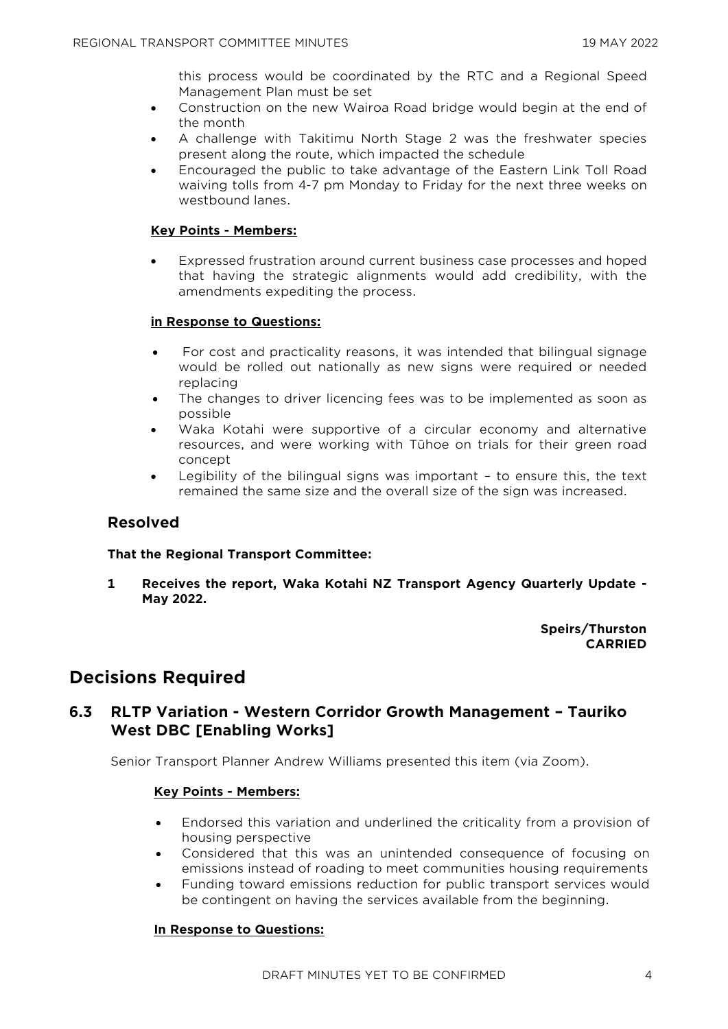this process would be coordinated by the RTC and a Regional Speed Management Plan must be set

- Construction on the new Wairoa Road bridge would begin at the end of the month
- A challenge with Takitimu North Stage 2 was the freshwater species present along the route, which impacted the schedule
- Encouraged the public to take advantage of the Eastern Link Toll Road waiving tolls from 4-7 pm Monday to Friday for the next three weeks on westbound lanes.

#### **Key Points - Members:**

• Expressed frustration around current business case processes and hoped that having the strategic alignments would add credibility, with the amendments expediting the process.

#### **in Response to Questions:**

- For cost and practicality reasons, it was intended that bilingual signage would be rolled out nationally as new signs were required or needed replacing
- The changes to driver licencing fees was to be implemented as soon as possible
- Waka Kotahi were supportive of a circular economy and alternative resources, and were working with Tūhoe on trials for their green road concept
- Legibility of the bilingual signs was important to ensure this, the text remained the same size and the overall size of the sign was increased.

# **Resolved**

#### **That the Regional Transport Committee:**

**1 Receives the report, Waka Kotahi NZ Transport Agency Quarterly Update - May 2022.**

#### **Speirs/Thurston CARRIED**

# **Decisions Required**

# **6.3 RLTP Variation - Western Corridor Growth Management – Tauriko West DBC [Enabling Works]**

Senior Transport Planner Andrew Williams presented this item (via Zoom).

#### **Key Points - Members:**

- Endorsed this variation and underlined the criticality from a provision of housing perspective
- Considered that this was an unintended consequence of focusing on emissions instead of roading to meet communities housing requirements
- Funding toward emissions reduction for public transport services would be contingent on having the services available from the beginning.

#### **In Response to Questions:**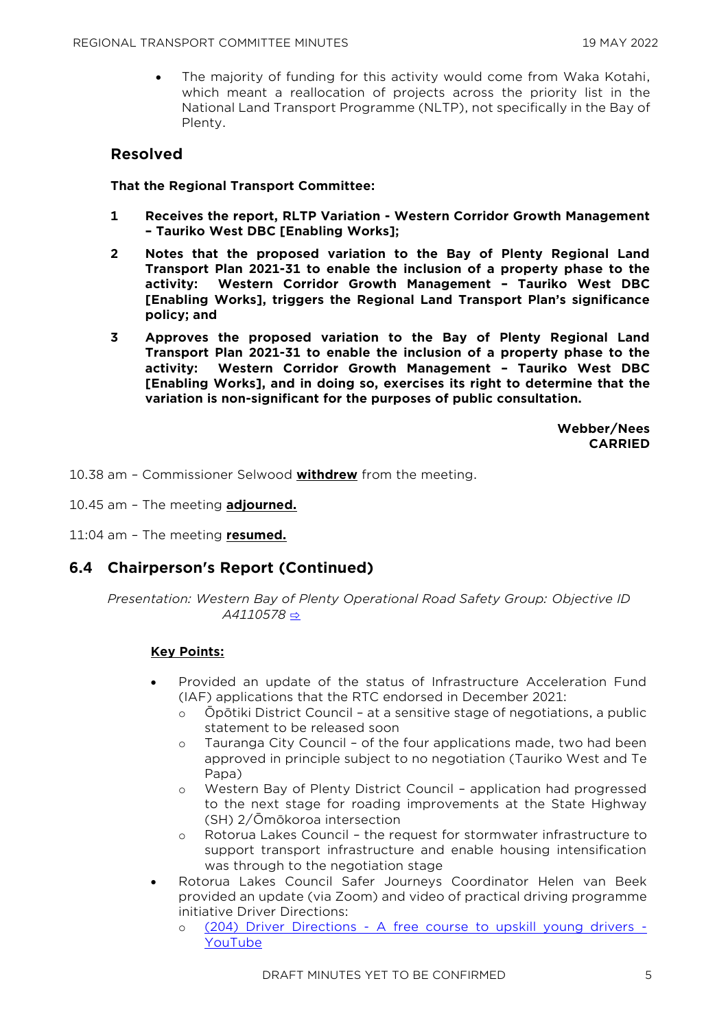• The majority of funding for this activity would come from Waka Kotahi, which meant a reallocation of projects across the priority list in the National Land Transport Programme (NLTP), not specifically in the Bay of Plenty.

# **Resolved**

#### **That the Regional Transport Committee:**

- **1 Receives the report, RLTP Variation - Western Corridor Growth Management – Tauriko West DBC [Enabling Works];**
- **2 Notes that the proposed variation to the Bay of Plenty Regional Land Transport Plan 2021-31 to enable the inclusion of a property phase to the activity: Western Corridor Growth Management – Tauriko West DBC [Enabling Works], triggers the Regional Land Transport Plan's significance policy; and**
- **3 Approves the proposed variation to the Bay of Plenty Regional Land Transport Plan 2021-31 to enable the inclusion of a property phase to the activity: Western Corridor Growth Management – Tauriko West DBC [Enabling Works], and in doing so, exercises its right to determine that the variation is non-significant for the purposes of public consultation.**

**Webber/Nees CARRIED**

10.38 am – Commissioner Selwood **withdrew** from the meeting.

10.45 am – The meeting **adjourned.**

11:04 am – The meeting **resumed.**

# **6.4 Chairperson's Report (Continued)**

*Presentation: Western Bay of Plenty Operational Road Safety Group: Objective ID A4110578* [⇨](../../../RedirectToInvalidFileName.aspx?FileName=RTC_20220519_MAT_3507.PDF)

- Provided an update of the status of Infrastructure Acceleration Fund (IAF) applications that the RTC endorsed in December 2021:
	- o Ōpōtiki District Council at a sensitive stage of negotiations, a public statement to be released soon
	- o Tauranga City Council of the four applications made, two had been approved in principle subject to no negotiation (Tauriko West and Te Papa)
	- o Western Bay of Plenty District Council application had progressed to the next stage for roading improvements at the State Highway (SH) 2/Ōmōkoroa intersection
	- o Rotorua Lakes Council the request for stormwater infrastructure to support transport infrastructure and enable housing intensification was through to the negotiation stage
- Rotorua Lakes Council Safer Journeys Coordinator Helen van Beek provided an update (via Zoom) and video of practical driving programme initiative Driver Directions:
	- o (204) Driver Directions [A free course to upskill young drivers -](https://www.youtube.com/watch?v=Evwn_hvEzVY&t=15s) [YouTube](https://www.youtube.com/watch?v=Evwn_hvEzVY&t=15s)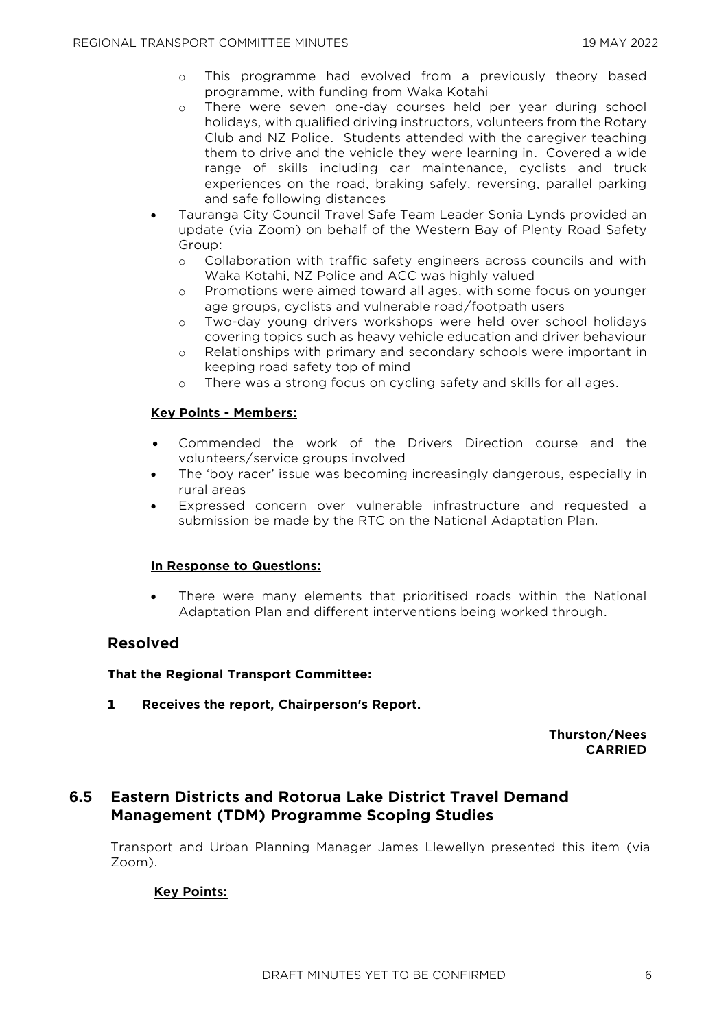- o This programme had evolved from a previously theory based programme, with funding from Waka Kotahi
- o There were seven one-day courses held per year during school holidays, with qualified driving instructors, volunteers from the Rotary Club and NZ Police. Students attended with the caregiver teaching them to drive and the vehicle they were learning in. Covered a wide range of skills including car maintenance, cyclists and truck experiences on the road, braking safely, reversing, parallel parking and safe following distances
- Tauranga City Council Travel Safe Team Leader Sonia Lynds provided an update (via Zoom) on behalf of the Western Bay of Plenty Road Safety Group:
	- o Collaboration with traffic safety engineers across councils and with Waka Kotahi, NZ Police and ACC was highly valued
	- o Promotions were aimed toward all ages, with some focus on younger age groups, cyclists and vulnerable road/footpath users
	- o Two-day young drivers workshops were held over school holidays covering topics such as heavy vehicle education and driver behaviour
	- o Relationships with primary and secondary schools were important in keeping road safety top of mind
	- o There was a strong focus on cycling safety and skills for all ages.

#### **Key Points - Members:**

- Commended the work of the Drivers Direction course and the volunteers/service groups involved
- The 'boy racer' issue was becoming increasingly dangerous, especially in rural areas
- Expressed concern over vulnerable infrastructure and requested a submission be made by the RTC on the National Adaptation Plan.

#### **In Response to Questions:**

• There were many elements that prioritised roads within the National Adaptation Plan and different interventions being worked through.

#### **Resolved**

#### **That the Regional Transport Committee:**

**1 Receives the report, Chairperson's Report.**

**Thurston/Nees CARRIED**

# **6.5 Eastern Districts and Rotorua Lake District Travel Demand Management (TDM) Programme Scoping Studies**

Transport and Urban Planning Manager James Llewellyn presented this item (via Zoom).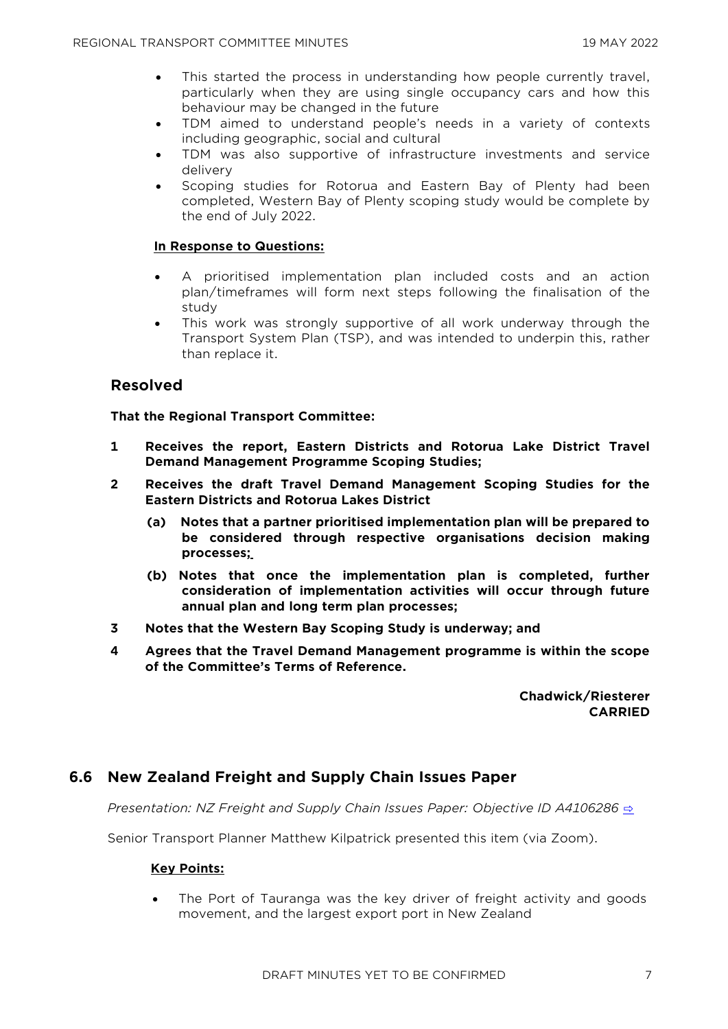- This started the process in understanding how people currently travel, particularly when they are using single occupancy cars and how this behaviour may be changed in the future
- TDM aimed to understand people's needs in a variety of contexts including geographic, social and cultural
- TDM was also supportive of infrastructure investments and service delivery
- Scoping studies for Rotorua and Eastern Bay of Plenty had been completed, Western Bay of Plenty scoping study would be complete by the end of July 2022.

#### **In Response to Questions:**

- A prioritised implementation plan included costs and an action plan/timeframes will form next steps following the finalisation of the study
- This work was strongly supportive of all work underway through the Transport System Plan (TSP), and was intended to underpin this, rather than replace it.

# **Resolved**

#### **That the Regional Transport Committee:**

- **1 Receives the report, Eastern Districts and Rotorua Lake District Travel Demand Management Programme Scoping Studies;**
- **2 Receives the draft Travel Demand Management Scoping Studies for the Eastern Districts and Rotorua Lakes District**
	- **(a) Notes that a partner prioritised implementation plan will be prepared to be considered through respective organisations decision making processes;**
	- **(b) Notes that once the implementation plan is completed, further consideration of implementation activities will occur through future annual plan and long term plan processes;**
- **3 Notes that the Western Bay Scoping Study is underway; and**
- **4 Agrees that the Travel Demand Management programme is within the scope of the Committee's Terms of Reference.**

**Chadwick/Riesterer CARRIED**

# **6.6 New Zealand Freight and Supply Chain Issues Paper**

*Presentation: NZ Freight and Supply Chain Issues Paper: Objective ID A4106286*  $\Rightarrow$ 

Senior Transport Planner Matthew Kilpatrick presented this item (via Zoom).

#### **Key Points:**

The Port of Tauranga was the key driver of freight activity and goods movement, and the largest export port in New Zealand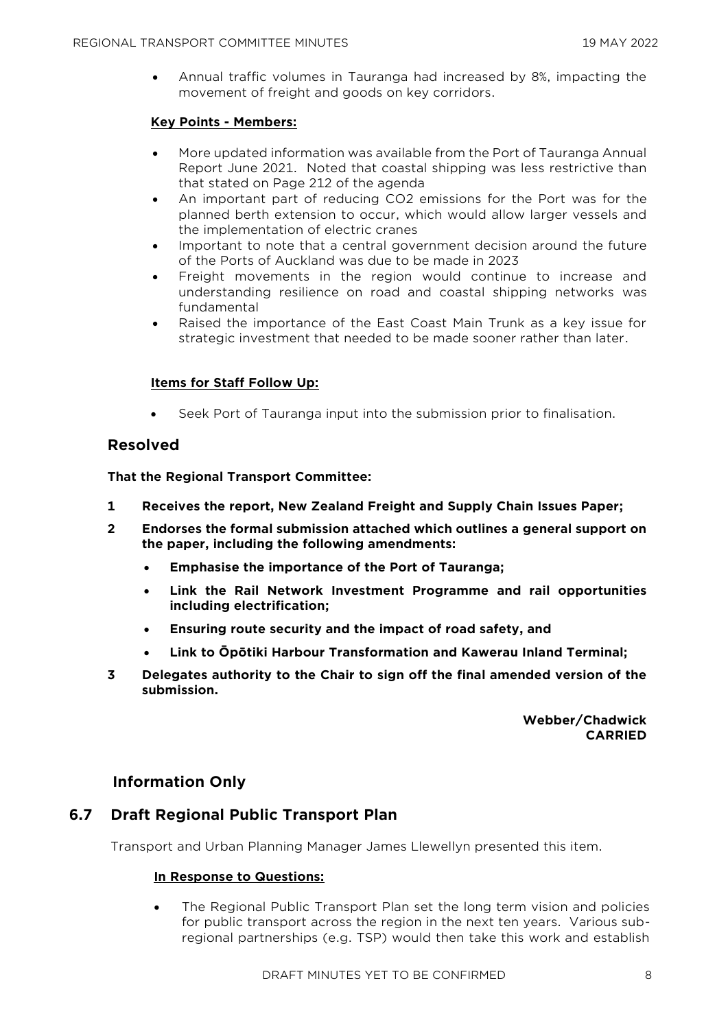• Annual traffic volumes in Tauranga had increased by 8%, impacting the movement of freight and goods on key corridors.

#### **Key Points - Members:**

- More updated information was available from the Port of Tauranga Annual Report June 2021. Noted that coastal shipping was less restrictive than that stated on Page 212 of the agenda
- An important part of reducing CO2 emissions for the Port was for the planned berth extension to occur, which would allow larger vessels and the implementation of electric cranes
- Important to note that a central government decision around the future of the Ports of Auckland was due to be made in 2023
- Freight movements in the region would continue to increase and understanding resilience on road and coastal shipping networks was fundamental
- Raised the importance of the East Coast Main Trunk as a key issue for strategic investment that needed to be made sooner rather than later.

#### **Items for Staff Follow Up:**

• Seek Port of Tauranga input into the submission prior to finalisation.

# **Resolved**

**That the Regional Transport Committee:**

- **1 Receives the report, New Zealand Freight and Supply Chain Issues Paper;**
- **2 Endorses the formal submission attached which outlines a general support on the paper, including the following amendments:**
	- **Emphasise the importance of the Port of Tauranga;**
	- **Link the Rail Network Investment Programme and rail opportunities including electrification;**
	- **Ensuring route security and the impact of road safety, and**
	- **Link to Ōpōtiki Harbour Transformation and Kawerau Inland Terminal;**
- **3 Delegates authority to the Chair to sign off the final amended version of the submission.**

**Webber/Chadwick CARRIED**

# **Information Only**

# **6.7 Draft Regional Public Transport Plan**

Transport and Urban Planning Manager James Llewellyn presented this item.

#### **In Response to Questions:**

• The Regional Public Transport Plan set the long term vision and policies for public transport across the region in the next ten years. Various subregional partnerships (e.g. TSP) would then take this work and establish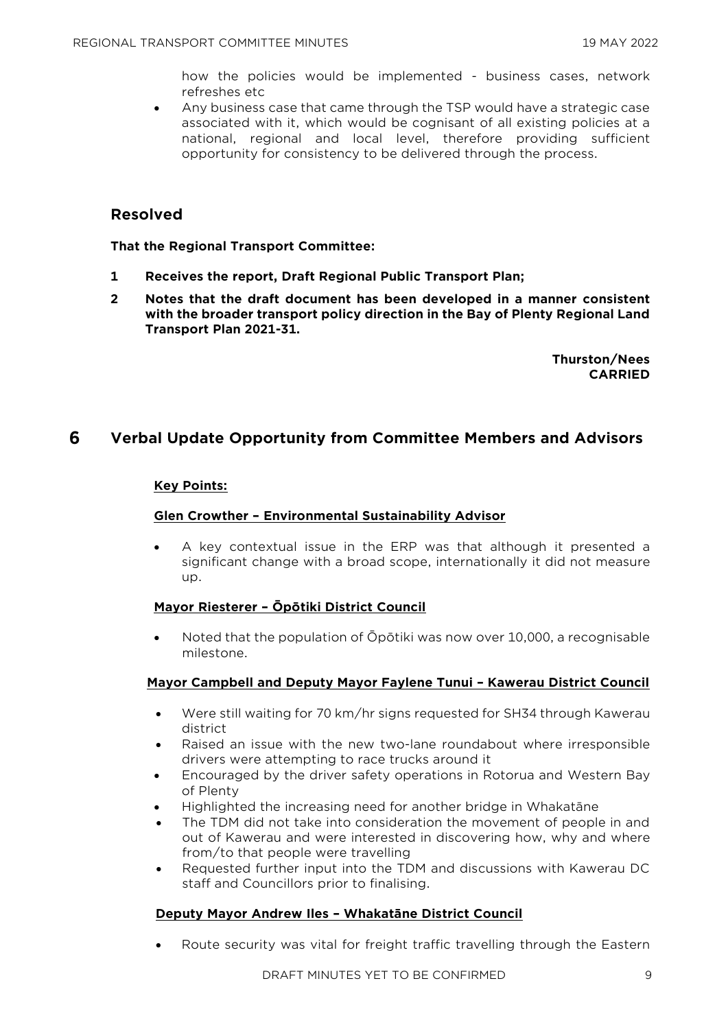how the policies would be implemented - business cases, network refreshes etc

• Any business case that came through the TSP would have a strategic case associated with it, which would be cognisant of all existing policies at a national, regional and local level, therefore providing sufficient opportunity for consistency to be delivered through the process.

# **Resolved**

**That the Regional Transport Committee:**

- **1 Receives the report, Draft Regional Public Transport Plan;**
- **2 Notes that the draft document has been developed in a manner consistent with the broader transport policy direction in the Bay of Plenty Regional Land Transport Plan 2021-31.**

**Thurston/Nees CARRIED**

# **6 Verbal Update Opportunity from Committee Members and Advisors**

#### **Key Points:**

#### **Glen Crowther – Environmental Sustainability Advisor**

• A key contextual issue in the ERP was that although it presented a significant change with a broad scope, internationally it did not measure up.

#### **Mayor Riesterer – Ōpōtiki District Council**

• Noted that the population of Ōpōtiki was now over 10,000, a recognisable milestone.

#### **Mayor Campbell and Deputy Mayor Faylene Tunui – Kawerau District Council**

- Were still waiting for 70 km/hr signs requested for SH34 through Kawerau district
- Raised an issue with the new two-lane roundabout where irresponsible drivers were attempting to race trucks around it
- Encouraged by the driver safety operations in Rotorua and Western Bay of Plenty
- Highlighted the increasing need for another bridge in Whakatāne
- The TDM did not take into consideration the movement of people in and out of Kawerau and were interested in discovering how, why and where from/to that people were travelling
- Requested further input into the TDM and discussions with Kawerau DC staff and Councillors prior to finalising.

#### **Deputy Mayor Andrew Iles – Whakatāne District Council**

• Route security was vital for freight traffic travelling through the Eastern